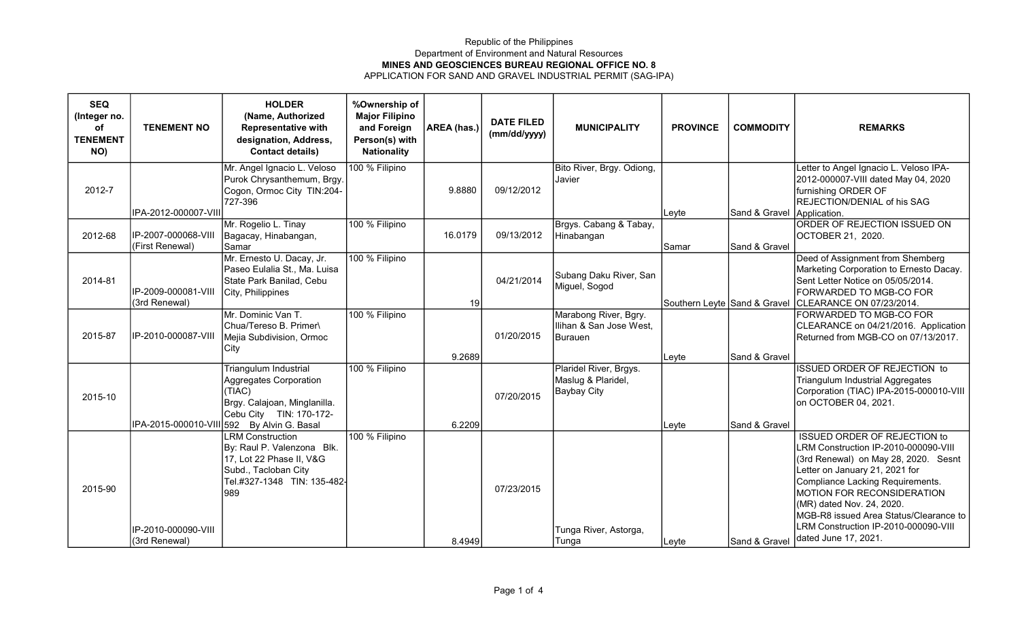## Republic of the Philippines Department of Environment and Natural Resources MINES AND GEOSCIENCES BUREAU REGIONAL OFFICE NO. 8 APPLICATION FOR SAND AND GRAVEL INDUSTRIAL PERMIT (SAG-IPA)

| <b>SEQ</b><br>(Integer no.<br>of<br><b>TENEMENT</b><br>NO) | <b>TENEMENT NO</b>                     | <b>HOLDER</b><br>(Name, Authorized<br><b>Representative with</b><br>designation, Address,<br><b>Contact details)</b>                                               | %Ownership of<br><b>Major Filipino</b><br>and Foreign<br>Person(s) with<br><b>Nationality</b> | AREA (has.) | <b>DATE FILED</b><br>(mm/dd/yyyy) | <b>MUNICIPALITY</b>                                                | <b>PROVINCE</b> | <b>COMMODITY</b> | <b>REMARKS</b>                                                                                                                                                                                                                                                                                                                                                 |
|------------------------------------------------------------|----------------------------------------|--------------------------------------------------------------------------------------------------------------------------------------------------------------------|-----------------------------------------------------------------------------------------------|-------------|-----------------------------------|--------------------------------------------------------------------|-----------------|------------------|----------------------------------------------------------------------------------------------------------------------------------------------------------------------------------------------------------------------------------------------------------------------------------------------------------------------------------------------------------------|
| 2012-7                                                     | IPA-2012-000007-VIII                   | Mr. Angel Ignacio L. Veloso<br>Purok Chrysanthemum, Brgy.<br>Cogon, Ormoc City TIN:204-<br>727-396                                                                 | 100 % Filipino                                                                                | 9.8880      | 09/12/2012                        | Bito River, Brgy. Odiong,<br>Javier                                | Leyte           | Sand & Gravel    | Letter to Angel Ignacio L. Veloso IPA-<br>2012-000007-VIII dated May 04, 2020<br>furnishing ORDER OF<br>REJECTION/DENIAL of his SAG<br>Application.                                                                                                                                                                                                            |
| 2012-68                                                    | IP-2007-000068-VIII<br>(First Renewal) | Mr. Rogelio L. Tinay<br>Bagacay, Hinabangan,<br>Samar                                                                                                              | 100 % Filipino                                                                                | 16.0179     | 09/13/2012                        | Brgys. Cabang & Tabay,<br>Hinabangan                               | Samar           | Sand & Gravel    | ORDER OF REJECTION ISSUED ON<br>OCTOBER 21, 2020.                                                                                                                                                                                                                                                                                                              |
| 2014-81                                                    | IP-2009-000081-VIII<br>(3rd Renewal)   | Mr. Ernesto U. Dacay, Jr.<br>Paseo Eulalia St., Ma. Luisa<br>State Park Banilad, Cebu<br>City, Philippines                                                         | 100 % Filipino                                                                                | 19          | 04/21/2014                        | Subang Daku River, San<br>Miguel, Sogod                            |                 |                  | Deed of Assignment from Shemberg<br>Marketing Corporation to Ernesto Dacay.<br>Sent Letter Notice on 05/05/2014.<br>FORWARDED TO MGB-CO FOR<br>Southern Leyte Sand & Gravel CLEARANCE ON 07/23/2014.                                                                                                                                                           |
| 2015-87                                                    | IP-2010-000087-VIII                    | Mr. Dominic Van T.<br>Chua/Tereso B. Primer\<br>Mejia Subdivision, Ormoc<br>City                                                                                   | 100 % Filipino                                                                                | 9.2689      | 01/20/2015                        | Marabong River, Bgry.<br>Ilihan & San Jose West,<br>Burauen        | Leyte           | Sand & Gravel    | FORWARDED TO MGB-CO FOR<br>CLEARANCE on 04/21/2016. Application<br>Returned from MGB-CO on 07/13/2017.                                                                                                                                                                                                                                                         |
| 2015-10                                                    |                                        | Triangulum Industrial<br>Aggregates Corporation<br>(TIAC)<br>Brgy. Calajoan, Minglanilla.<br>Cebu City TIN: 170-172-<br>IPA-2015-000010-VIII 592 By Alvin G. Basal | 100 % Filipino                                                                                | 6.2209      | 07/20/2015                        | Plaridel River, Brgys.<br>Maslug & Plaridel,<br><b>Baybay City</b> | Leyte           | Sand & Gravel    | <b>ISSUED ORDER OF REJECTION to</b><br><b>Triangulum Industrial Aggregates</b><br>Corporation (TIAC) IPA-2015-000010-VIII<br>on OCTOBER 04, 2021.                                                                                                                                                                                                              |
| 2015-90                                                    | IP-2010-000090-VIII<br>(3rd Renewal)   | <b>LRM Construction</b><br>By: Raul P. Valenzona Blk.<br>17, Lot 22 Phase II, V&G<br>Subd., Tacloban City<br>Tel.#327-1348 TIN: 135-482-<br>989                    | 100 % Filipino                                                                                | 8.4949      | 07/23/2015                        | Tunga River, Astorga,<br>Tunga                                     | Leyte           | Sand & Gravel    | <b>ISSUED ORDER OF REJECTION to</b><br>LRM Construction IP-2010-000090-VIII<br>(3rd Renewal) on May 28, 2020. Sesnt<br>Letter on January 21, 2021 for<br>Compliance Lacking Requirements.<br>MOTION FOR RECONSIDERATION<br>(MR) dated Nov. 24, 2020.<br>MGB-R8 issued Area Status/Clearance to<br>LRM Construction IP-2010-000090-VIII<br>dated June 17, 2021. |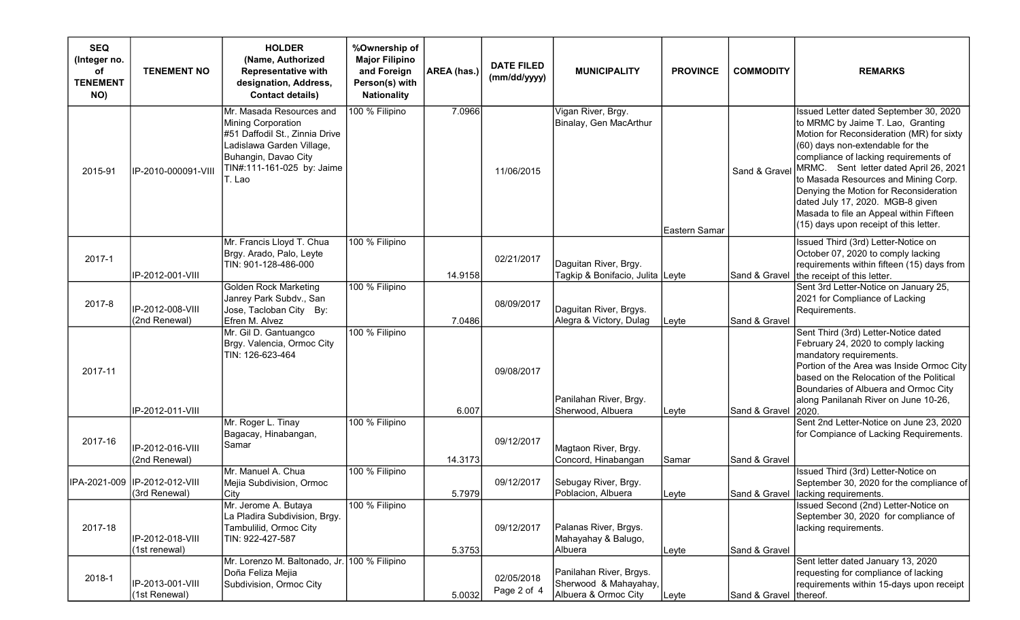| <b>SEQ</b><br>(Integer no.<br>of<br><b>TENEMENT</b><br>NO) | <b>TENEMENT NO</b>                             | <b>HOLDER</b><br>(Name, Authorized<br><b>Representative with</b><br>designation, Address,<br><b>Contact details)</b>                                                          | %Ownership of<br><b>Major Filipino</b><br>and Foreign<br>Person(s) with<br><b>Nationality</b> | AREA (has.) | <b>DATE FILED</b><br>(mm/dd/yyyy) | <b>MUNICIPALITY</b>                                                      | <b>PROVINCE</b> | <b>COMMODITY</b>       | <b>REMARKS</b>                                                                                                                                                                                                                                                                                                                                                                                                                                             |
|------------------------------------------------------------|------------------------------------------------|-------------------------------------------------------------------------------------------------------------------------------------------------------------------------------|-----------------------------------------------------------------------------------------------|-------------|-----------------------------------|--------------------------------------------------------------------------|-----------------|------------------------|------------------------------------------------------------------------------------------------------------------------------------------------------------------------------------------------------------------------------------------------------------------------------------------------------------------------------------------------------------------------------------------------------------------------------------------------------------|
| 2015-91                                                    | IP-2010-000091-VIII                            | Mr. Masada Resources and<br>Mining Corporation<br>#51 Daffodil St., Zinnia Drive<br>Ladislawa Garden Village,<br>Buhangin, Davao City<br>TIN#:111-161-025 by: Jaime<br>T. Lao | 100 % Filipino                                                                                | 7.0966      | 11/06/2015                        | Vigan River, Brgy.<br>Binalay, Gen MacArthur                             | Eastern Samar   | Sand & Gravel          | Issued Letter dated September 30, 2020<br>to MRMC by Jaime T. Lao, Granting<br>Motion for Reconsideration (MR) for sixty<br>(60) days non-extendable for the<br>compliance of lacking requirements of<br>MRMC. Sent letter dated April 26, 2021<br>to Masada Resources and Mining Corp.<br>Denying the Motion for Reconsideration<br>dated July 17, 2020. MGB-8 given<br>Masada to file an Appeal within Fifteen<br>(15) days upon receipt of this letter. |
| 2017-1                                                     | IP-2012-001-VIII                               | Mr. Francis Lloyd T. Chua<br>Brgy. Arado, Palo, Leyte<br>TIN: 901-128-486-000                                                                                                 | 100 % Filipino                                                                                | 14.9158     | 02/21/2017                        | Daguitan River, Brgy.<br>Tagkip & Bonifacio, Julita  Leyte_              |                 | Sand & Gravel          | Issued Third (3rd) Letter-Notice on<br>October 07, 2020 to comply lacking<br>requirements within fifteen (15) days from<br>the receipt of this letter.                                                                                                                                                                                                                                                                                                     |
| 2017-8                                                     | IP-2012-008-VIII<br>(2nd Renewal)              | Golden Rock Marketing<br>Janrey Park Subdv., San<br>Jose, Tacloban City By:<br>Efren M. Alvez                                                                                 | 100 % Filipino                                                                                | 7.0486      | 08/09/2017                        | Daguitan River, Brgys.<br>Alegra & Victory, Dulag                        | Leyte           | Sand & Gravel          | Sent 3rd Letter-Notice on January 25,<br>2021 for Compliance of Lacking<br>Requirements.                                                                                                                                                                                                                                                                                                                                                                   |
| 2017-11                                                    | IP-2012-011-VIII                               | Mr. Gil D. Gantuangco<br>Brgy. Valencia, Ormoc City<br>TIN: 126-623-464                                                                                                       | 100 % Filipino                                                                                | 6.007       | 09/08/2017                        | Panilahan River, Brgy.<br>Sherwood, Albuera                              | Leyte           | Sand & Gravel          | Sent Third (3rd) Letter-Notice dated<br>February 24, 2020 to comply lacking<br>mandatory requirements.<br>Portion of the Area was Inside Ormoc City<br>based on the Relocation of the Political<br>Boundaries of Albuera and Ormoc City<br>along Panilanah River on June 10-26,<br>l2020.                                                                                                                                                                  |
| 2017-16                                                    | IP-2012-016-VIII<br>(2nd Renewal)              | Mr. Roger L. Tinay<br>Bagacay, Hinabangan,<br>Samar                                                                                                                           | 100 % Filipino                                                                                | 14.3173     | 09/12/2017                        | Magtaon River, Brgy.<br>Concord, Hinabangan                              | Samar           | Sand & Gravel          | Sent 2nd Letter-Notice on June 23, 2020<br>for Compiance of Lacking Requirements.                                                                                                                                                                                                                                                                                                                                                                          |
|                                                            | IPA-2021-009 IP-2012-012-VIII<br>(3rd Renewal) | Mr. Manuel A. Chua<br>Mejia Subdivision, Ormoc<br>City                                                                                                                        | 100 % Filipino                                                                                | 5.7979      | 09/12/2017                        | Sebugay River, Brgy.<br> Poblacion, Albuera                              | Leyte           |                        | Issued Third (3rd) Letter-Notice on<br>September 30, 2020 for the compliance of<br>Sand & Gravel   lacking requirements.                                                                                                                                                                                                                                                                                                                                   |
| 2017-18                                                    | IP-2012-018-VIII<br>(1st renewal)              | Mr. Jerome A. Butaya<br>La Pladira Subdivision, Brgy.<br>Tambulilid, Ormoc City<br>TIN: 922-427-587                                                                           | 100 % Filipino                                                                                | 5.3753      | 09/12/2017                        | Palanas River, Brgys.<br>Mahayahay & Balugo,<br>Albuera                  | Leyte           | Sand & Gravel          | Issued Second (2nd) Letter-Notice on<br>September 30, 2020 for compliance of<br>lacking requirements.                                                                                                                                                                                                                                                                                                                                                      |
| 2018-1                                                     | IP-2013-001-VIII<br>(1st Renewal)              | Mr. Lorenzo M. Baltonado, Jr. 100 % Filipino<br>Doña Feliza Mejia<br>Subdivision, Ormoc City                                                                                  |                                                                                               | 5.0032      | 02/05/2018<br>Page 2 of 4         | Panilahan River, Brgys.<br>Sherwood & Mahayahay,<br>Albuera & Ormoc City | Leyte           | Sand & Gravel thereof. | Sent letter dated January 13, 2020<br>requesting for compliance of lacking<br>requirements within 15-days upon receipt                                                                                                                                                                                                                                                                                                                                     |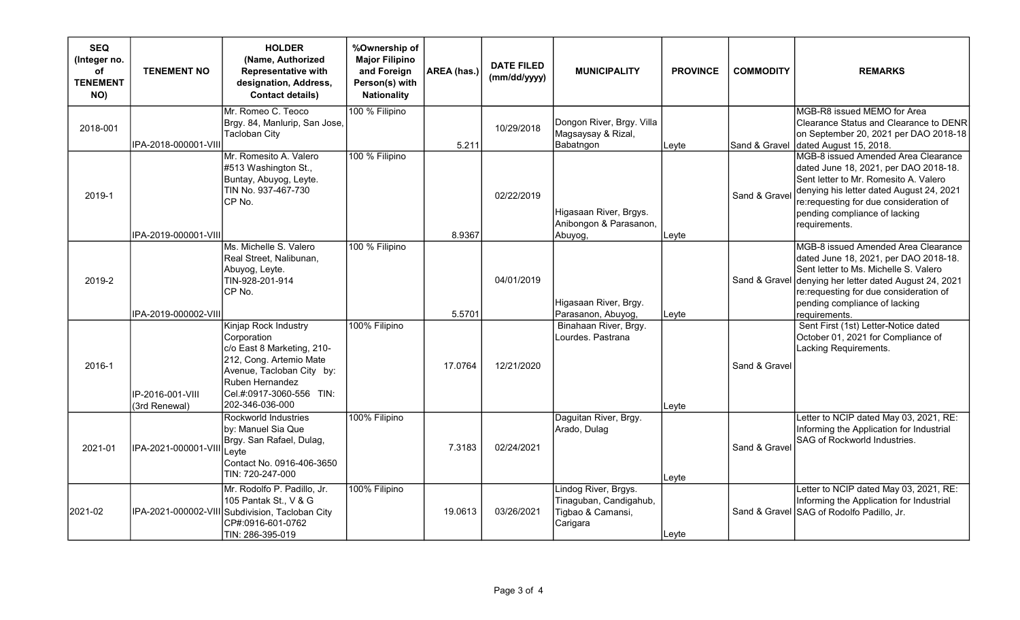| <b>SEQ</b><br>(Integer no.<br>оf<br><b>TENEMENT</b><br>NO) | <b>TENEMENT NO</b>                | <b>HOLDER</b><br>(Name, Authorized<br><b>Representative with</b><br>designation, Address,<br><b>Contact details)</b>                                                                        | %Ownership of<br><b>Major Filipino</b><br>and Foreign<br>Person(s) with<br><b>Nationality</b> | AREA (has.) | <b>DATE FILED</b><br>(mm/dd/yyyy) | <b>MUNICIPALITY</b>                                                             | <b>PROVINCE</b> | <b>COMMODITY</b> | <b>REMARKS</b>                                                                                                                                                                                                                                                |
|------------------------------------------------------------|-----------------------------------|---------------------------------------------------------------------------------------------------------------------------------------------------------------------------------------------|-----------------------------------------------------------------------------------------------|-------------|-----------------------------------|---------------------------------------------------------------------------------|-----------------|------------------|---------------------------------------------------------------------------------------------------------------------------------------------------------------------------------------------------------------------------------------------------------------|
| 2018-001                                                   | IPA-2018-000001-VIII              | Mr. Romeo C. Teoco<br>Brgy. 84, Manlurip, San Jose,<br><b>Tacloban City</b>                                                                                                                 | 100 % Filipino                                                                                | 5.211       | 10/29/2018                        | Dongon River, Brgy. Villa<br>Magsaysay & Rizal,<br>Babatngon                    | Leyte           | Sand & Gravel    | MGB-R8 issued MEMO for Area<br>Clearance Status and Clearance to DENR<br>on September 20, 2021 per DAO 2018-18<br>dated August 15, 2018.                                                                                                                      |
| 2019-1                                                     | IPA-2019-000001-VIII              | Mr. Romesito A. Valero<br>#513 Washington St.,<br>Buntay, Abuyog, Leyte.<br>TIN No. 937-467-730<br>CP No.                                                                                   | 100 % Filipino                                                                                | 8.9367      | 02/22/2019                        | Higasaan River, Brgys.<br>Anibongon & Parasanon,<br>Abuyog,                     | Leyte           | Sand & Gravel    | MGB-8 issued Amended Area Clearance<br>dated June 18, 2021, per DAO 2018-18.<br>Sent letter to Mr. Romesito A. Valero<br>denying his letter dated August 24, 2021<br>re:requesting for due consideration of<br>pending compliance of lacking<br>requirements. |
| 2019-2                                                     | IPA-2019-000002-VIII              | Ms. Michelle S. Valero<br>Real Street, Nalibunan,<br>Abuyog, Leyte.<br>TIN-928-201-914<br>CP No.                                                                                            | 100 % Filipino                                                                                | 5.5701      | 04/01/2019                        | Higasaan River, Brgy.<br>Parasanon, Abuyog,                                     | Leyte           | Sand & Gravel    | MGB-8 issued Amended Area Clearance<br>dated June 18, 2021, per DAO 2018-18.<br>Sent letter to Ms. Michelle S. Valero<br>denying her letter dated August 24, 2021<br>re:requesting for due consideration of<br>pending compliance of lacking<br>reauirements. |
| 2016-1                                                     | IP-2016-001-VIII<br>(3rd Renewal) | Kinjap Rock Industry<br>Corporation<br>c/o East 8 Marketing, 210-<br>212, Cong. Artemio Mate<br>Avenue, Tacloban City by:<br>Ruben Hernandez<br>Cel.#:0917-3060-556 TIN:<br>202-346-036-000 | 100% Filipino                                                                                 | 17.0764     | 12/21/2020                        | Binahaan River, Brgy.<br>Lourdes. Pastrana                                      | Leyte           | Sand & Gravel    | Sent First (1st) Letter-Notice dated<br>October 01, 2021 for Compliance of<br>Lacking Requirements.                                                                                                                                                           |
| 2021-01                                                    | IPA-2021-000001-VIII              | Rockworld Industries<br>by: Manuel Sia Que<br>Brgy. San Rafael, Dulag,<br>Leyte<br>Contact No. 0916-406-3650<br>TIN: 720-247-000                                                            | 100% Filipino                                                                                 | 7.3183      | 02/24/2021                        | Daguitan River, Brgy.<br>Arado, Dulag                                           | Leyte           | Sand & Gravel    | Letter to NCIP dated May 03, 2021, RE:<br>Informing the Application for Industrial<br>SAG of Rockworld Industries.                                                                                                                                            |
| 2021-02                                                    |                                   | Mr. Rodolfo P. Padillo, Jr.<br>105 Pantak St., V & G<br>IPA-2021-000002-VIII Subdivision, Tacloban City<br>CP#:0916-601-0762<br>TIN: 286-395-019                                            | 100% Filipino                                                                                 | 19.0613     | 03/26/2021                        | Lindog River, Brgys.<br>Tinaguban, Candigahub,<br>Tigbao & Camansi,<br>Carigara | Leyte           |                  | Letter to NCIP dated May 03, 2021, RE:<br>Informing the Application for Industrial<br>Sand & Gravel SAG of Rodolfo Padillo, Jr.                                                                                                                               |